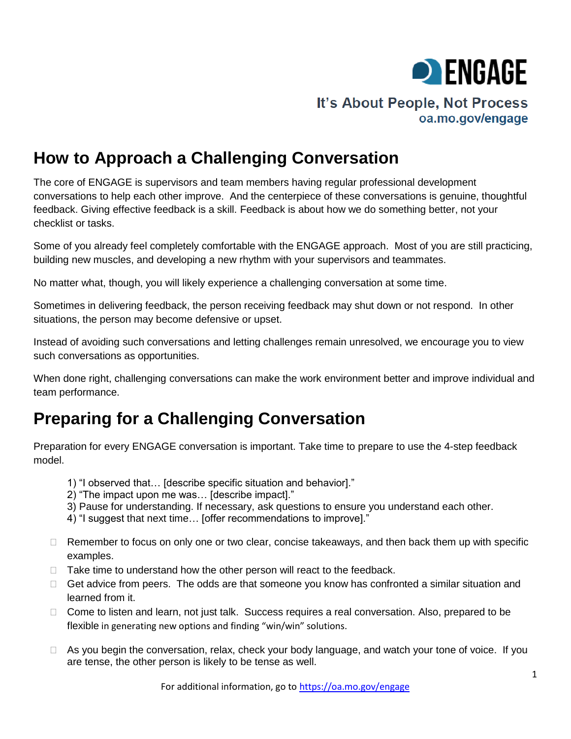

# **How to Approach a Challenging Conversation**

The core of ENGAGE is supervisors and team members having regular professional development conversations to help each other improve. And the centerpiece of these conversations is genuine, thoughtful feedback. Giving effective feedback is a skill. Feedback is about how we do something better, not your checklist or tasks.

Some of you already feel completely comfortable with the ENGAGE approach. Most of you are still practicing, building new muscles, and developing a new rhythm with your supervisors and teammates.

No matter what, though, you will likely experience a challenging conversation at some time.

Sometimes in delivering feedback, the person receiving feedback may shut down or not respond. In other situations, the person may become defensive or upset.

Instead of avoiding such conversations and letting challenges remain unresolved, we encourage you to view such conversations as opportunities.

When done right, challenging conversations can make the work environment better and improve individual and team performance.

# **Preparing for a Challenging Conversation**

Preparation for every ENGAGE conversation is important. Take time to prepare to use the 4-step feedback model.

- 1) "I observed that… [describe specific situation and behavior]."
- 2) "The impact upon me was… [describe impact]."
- 3) Pause for understanding. If necessary, ask questions to ensure you understand each other.
- 4) "I suggest that next time… [offer recommendations to improve]."
- $\Box$  Remember to focus on only one or two clear, concise takeaways, and then back them up with specific examples.
- $\Box$  Take time to understand how the other person will react to the feedback.
- $\Box$  Get advice from peers. The odds are that someone you know has confronted a similar situation and learned from it.
- □ Come to listen and learn, not just talk. Success requires a real conversation. Also, prepared to be flexible in generating new options and finding "win/win" solutions.
- $\Box$  As you begin the conversation, relax, check your body language, and watch your tone of voice. If you are tense, the other person is likely to be tense as well.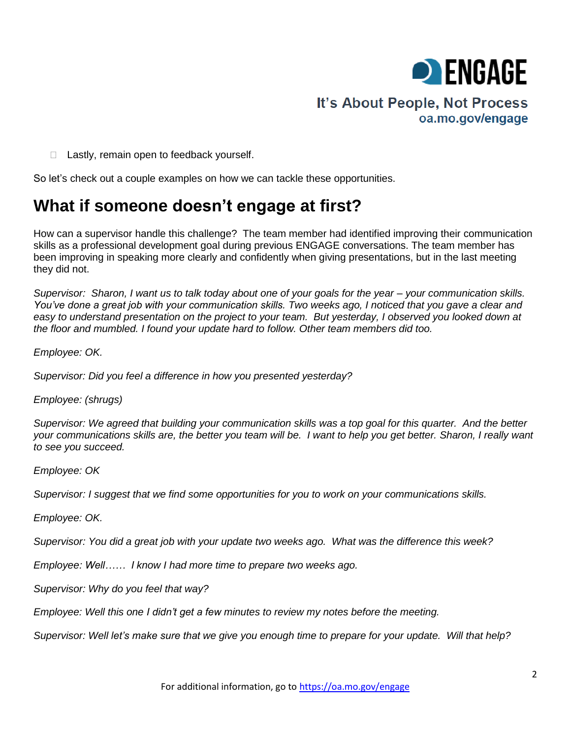

 $\Box$  Lastly, remain open to feedback yourself.

So let's check out a couple examples on how we can tackle these opportunities.

## **What if someone doesn't engage at first?**

How can a supervisor handle this challenge? The team member had identified improving their communication skills as a professional development goal during previous ENGAGE conversations. The team member has been improving in speaking more clearly and confidently when giving presentations, but in the last meeting they did not.

*Supervisor: Sharon, I want us to talk today about one of your goals for the year – your communication skills. You've done a great job with your communication skills. Two weeks ago, I noticed that you gave a clear and easy to understand presentation on the project to your team. But yesterday, I observed you looked down at the floor and mumbled. I found your update hard to follow. Other team members did too.* 

*Employee: OK.* 

*Supervisor: Did you feel a difference in how you presented yesterday?*

*Employee: (shrugs)*

*Supervisor: We agreed that building your communication skills was a top goal for this quarter. And the better your communications skills are, the better you team will be. I want to help you get better. Sharon, I really want to see you succeed.*

*Employee: OK*

*Supervisor: I suggest that we find some opportunities for you to work on your communications skills.* 

*Employee: OK.* 

*Supervisor: You did a great job with your update two weeks ago. What was the difference this week?* 

*Employee: Well…… I know I had more time to prepare two weeks ago.* 

*Supervisor: Why do you feel that way?*

*Employee: Well this one I didn't get a few minutes to review my notes before the meeting.*

*Supervisor: Well let's make sure that we give you enough time to prepare for your update. Will that help?*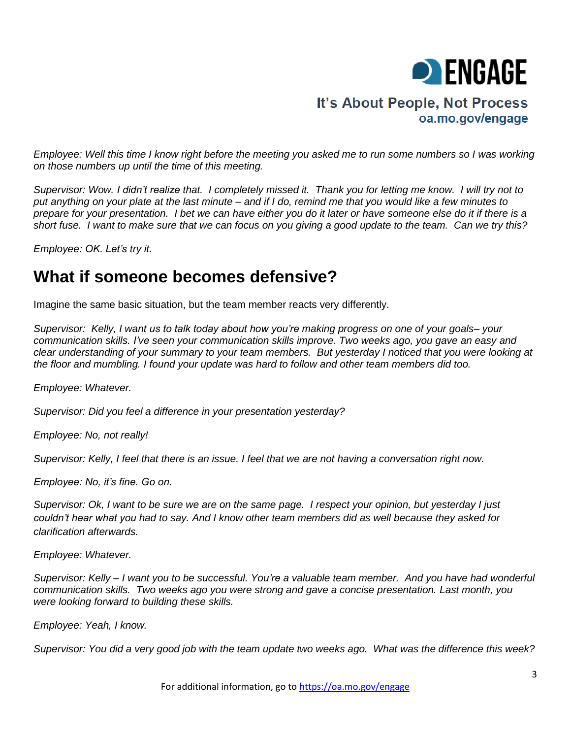

*Employee: Well this time I know right before the meeting you asked me to run some numbers so I was working on those numbers up until the time of this meeting.* 

*Supervisor: Wow. I didn't realize that. I completely missed it. Thank you for letting me know. I will try not to put anything on your plate at the last minute – and if I do, remind me that you would like a few minutes to prepare for your presentation. I bet we can have either you do it later or have someone else do it if there is a short fuse. I want to make sure that we can focus on you giving a good update to the team. Can we try this?*

*Employee: OK. Let's try it.*

## **What if someone becomes defensive?**

Imagine the same basic situation, but the team member reacts very differently.

*Supervisor: Kelly, I want us to talk today about how you're making progress on one of your goals– your communication skills. I've seen your communication skills improve. Two weeks ago, you gave an easy and clear understanding of your summary to your team members. But yesterday I noticed that you were looking at the floor and mumbling. I found your update was hard to follow and other team members did too.*

*Employee: Whatever.* 

*Supervisor: Did you feel a difference in your presentation yesterday?*

*Employee: No, not really!*

*Supervisor: Kelly, I feel that there is an issue. I feel that we are not having a conversation right now.*

*Employee: No, it's fine. Go on.*

*Supervisor: Ok, I want to be sure we are on the same page. I respect your opinion, but yesterday I just couldn't hear what you had to say. And I know other team members did as well because they asked for clarification afterwards.*

*Employee: Whatever.* 

*Supervisor: Kelly – I want you to be successful. You're a valuable team member. And you have had wonderful communication skills. Two weeks ago you were strong and gave a concise presentation. Last month, you were looking forward to building these skills.* 

*Employee: Yeah, I know.*

*Supervisor: You did a very good job with the team update two weeks ago. What was the difference this week?*